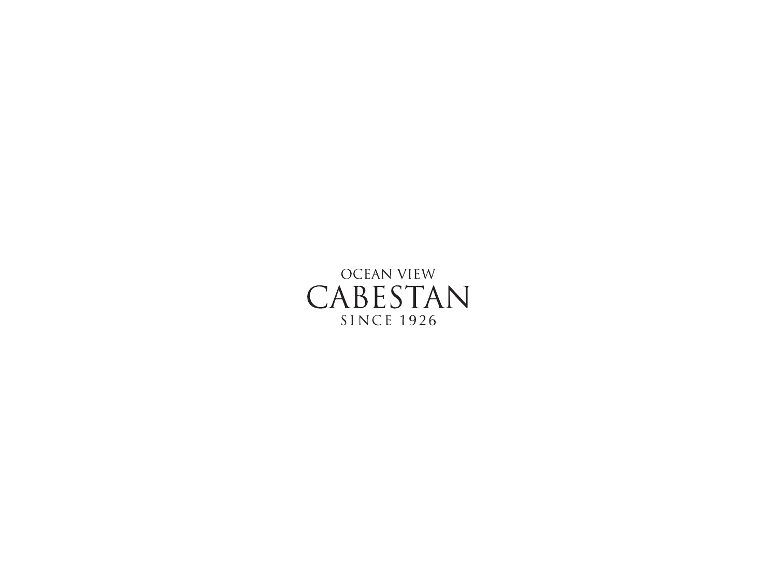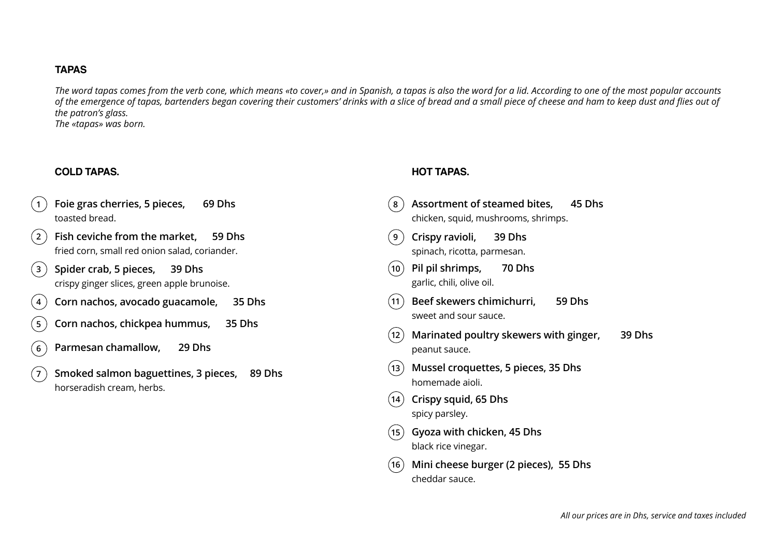### **TAPAS**

*The word tapas comes from the verb cone, which means «to cover,» and in Spanish, a tapas is also the word for a lid. According to one of the most popular accounts*  of the emergence of tapas, bartenders began covering their customers' drinks with a slice of bread and a small piece of cheese and ham to keep dust and flies out of *the patron's glass. The «tapas» was born.*

# **COLD TAPAS. HOT TAPAS.**

| Foie gras cherries, 5 pieces,<br>69 Dhs<br>$\mathbf{1}$<br>toasted bread.                                      | Assortment of steamed bites,<br>45 Dhs<br>8<br>chicken, squid, mushrooms, shrimps. |
|----------------------------------------------------------------------------------------------------------------|------------------------------------------------------------------------------------|
| Fish ceviche from the market,<br>$\left( 2 \right)$<br>59 Dhs<br>fried corn, small red onion salad, coriander. | Crispy ravioli,<br>39 Dhs<br>9<br>spinach, ricotta, parmesan.                      |
| Spider crab, 5 pieces,<br>$\left(3\right)$<br>39 Dhs<br>crispy ginger slices, green apple brunoise.            | Pil pil shrimps,<br>70 Dhs<br>$ 10\rangle$<br>garlic, chili, olive oil.            |
| Corn nachos, avocado guacamole,<br>35 Dhs<br>$\overline{4}$                                                    | Beef skewers chimichurri,<br>59 Dhs<br>(11)                                        |
| Corn nachos, chickpea hummus,<br>35 Dhs<br>5 <sub>1</sub>                                                      | sweet and sour sauce.                                                              |
| Parmesan chamallow,<br>29 Dhs<br>6                                                                             | Marinated poultry skewers with ginger,<br>39 Dhs<br>(12)<br>peanut sauce.          |
| Smoked salmon baguettines, 3 pieces,<br>89 Dhs<br>$\sqrt{7}$<br>horseradish cream, herbs.                      | Mussel croquettes, 5 pieces, 35 Dhs<br>(13)<br>homemade aioli.                     |
|                                                                                                                | Crispy squid, 65 Dhs<br>$\left  \right $ 14<br>spicy parsley.                      |
|                                                                                                                | Gyoza with chicken, 45 Dhs<br>(15)<br>black rice vinegar.                          |
|                                                                                                                | Mini cheese burger (2 pieces), 55 Dhs<br>(16)<br>cheddar sauce.                    |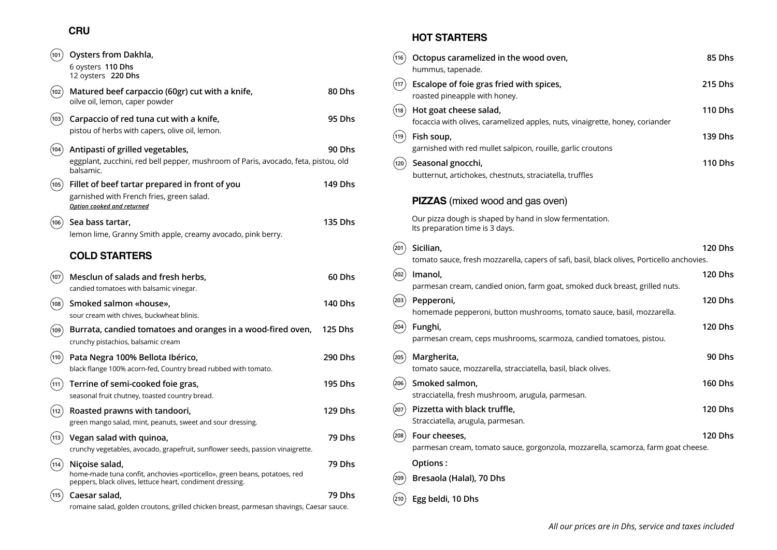# **CRU**

| (101) | Oysters from Dakhla,<br>6 oysters 110 Dhs<br>12 oysters 220 Dhs                                                                                          |                |
|-------|----------------------------------------------------------------------------------------------------------------------------------------------------------|----------------|
| (102) | Matured beef carpaccio (60gr) cut with a knife,<br>oilve oil, lemon, caper powder                                                                        | 80 Dhs         |
| (103) | Carpaccio of red tuna cut with a knife,<br>pistou of herbs with capers, olive oil, lemon.                                                                | 95 Dhs         |
| (104) | Antipasti of grilled vegetables,<br>eggplant, zucchini, red bell pepper, mushroom of Paris, avocado, feta, pistou, old<br>balsamic.                      | 90 Dhs         |
| (105) | Fillet of beef tartar prepared in front of you<br>garnished with French fries, green salad.<br>Option cooked and returned                                | 149 Dhs        |
| (106) | Sea bass tartar,<br>lemon lime, Granny Smith apple, creamy avocado, pink berry.                                                                          | 135 Dhs        |
|       | <b>COLD STARTERS</b>                                                                                                                                     |                |
| 107   | Mesclun of salads and fresh herbs,<br>candied tomatoes with balsamic vinegar.                                                                            | 60 Dhs         |
| (108) | Smoked salmon «house»,<br>sour cream with chives, buckwheat blinis.                                                                                      | 140 Dhs        |
| (109) | Burrata, candied tomatoes and oranges in a wood-fired oven,<br>crunchy pistachios, balsamic cream                                                        | <b>125 Dhs</b> |
| (110) | Pata Negra 100% Bellota Ibérico,<br>black flange 100% acorn-fed, Country bread rubbed with tomato.                                                       | 290 Dhs        |
| (111) | Terrine of semi-cooked foie gras,<br>seasonal fruit chutney, toasted country bread.                                                                      | 195 Dhs        |
| (112) | Roasted prawns with tandoori,<br>green mango salad, mint, peanuts, sweet and sour dressing.                                                              | 129 Dhs        |
| (113  | Vegan salad with quinoa,<br>crunchy vegetables, avocado, grapefruit, sunflower seeds, passion vinaigrette.                                               | 79 Dhs         |
| (114) | Niçoise salad,<br>home-made tuna confit, anchovies «porticello», green beans, potatoes, red<br>peppers, black olives, lettuce heart, condiment dressing. | 79 Dhs         |
| (115) | Caesar salad,<br>romaine salad, golden croutons, grilled chicken breast, parmesan shavings, Caesar sauce.                                                | 79 Dhs         |

#### **HOT STARTERS**

| (116) | Octopus caramelized in the wood oven,<br>hummus, tapenade.                                              | 85 Dhs         |
|-------|---------------------------------------------------------------------------------------------------------|----------------|
| (117) | Escalope of foie gras fried with spices,<br>roasted pineapple with honey.                               | 215 Dhs        |
| (118) | Hot goat cheese salad,<br>focaccia with olives, caramelized apples, nuts, vinaigrette, honey, coriander | 110 Dhs        |
| 119   | Fish soup,<br>garnished with red mullet salpicon, rouille, garlic croutons                              | 139 Dhs        |
| (120) | Seasonal gnocchi,<br>butternut, artichokes, chestnuts, straciatella, truffles                           | 110 Dhs        |
|       | <b>PIZZAS</b> (mixed wood and gas oven)                                                                 |                |
|       | Our pizza dough is shaped by hand in slow fermentation.<br>Its preparation time is 3 days.              |                |
| 201)  | Sicilian,                                                                                               | <b>120 Dhs</b> |
|       | tomato sauce, fresh mozzarella, capers of safi, basil, black olives, Porticello anchovies.              |                |
| 202   | Imanol,                                                                                                 | 120 Dhs        |
|       | parmesan cream, candied onion, farm goat, smoked duck breast, grilled nuts.                             |                |
| (203) | Pepperoni,<br>homemade pepperoni, button mushrooms, tomato sauce, basil, mozzarella.                    | 120 Dhs        |
| (204) | Funghi,                                                                                                 | 120 Dhs        |
|       | parmesan cream, ceps mushrooms, scarmoza, candied tomatoes, pistou.                                     |                |
| (205) | Margherita,<br>tomato sauce, mozzarella, stracciatella, basil, black olives.                            | 90 Dhs         |
| 206   | Smoked salmon,                                                                                          | 160 Dhs        |
|       | stracciatella, fresh mushroom, arugula, parmesan.                                                       |                |
| (207) | Pizzetta with black truffle,<br>Stracciatella, arugula, parmesan.                                       | 120 Dhs        |
| (208) | Four cheeses,                                                                                           | 120 Dhs        |
|       | parmesan cream, tomato sauce, gorgonzola, mozzarella, scamorza, farm goat cheese.                       |                |
|       | Options:                                                                                                |                |
| 209   | Bresaola (Halal), 70 Dhs                                                                                |                |
| (210) | Egg beldi, 10 Dhs                                                                                       |                |

*All our prices are in Dhs, service and taxes included*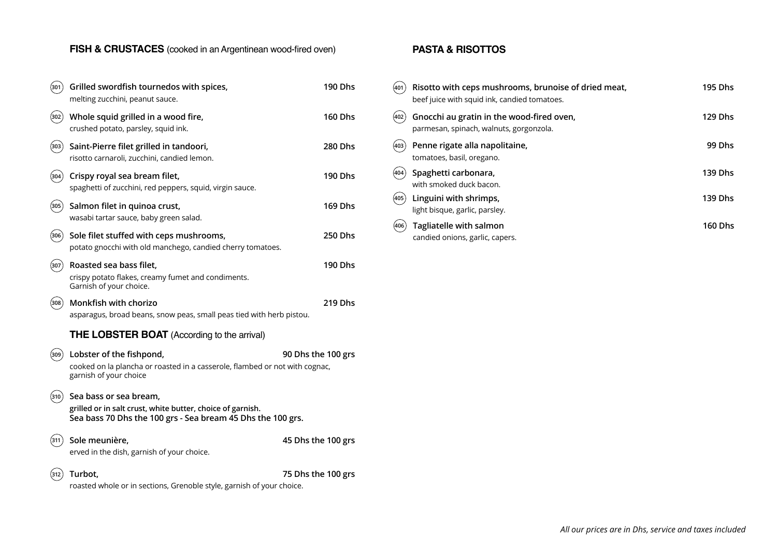# **FISH & CRUSTACES** (cooked in an Argentinean wood-fired oven)

| (301)  | Grilled swordfish tournedos with spices,<br>melting zucchini, peanut sauce.                                                                         | <b>190 Dhs</b>     |
|--------|-----------------------------------------------------------------------------------------------------------------------------------------------------|--------------------|
| (302 ) | Whole squid grilled in a wood fire,<br>crushed potato, parsley, squid ink.                                                                          | <b>160 Dhs</b>     |
| (303)  | Saint-Pierre filet grilled in tandoori,<br>risotto carnaroli, zucchini, candied lemon.                                                              | <b>280 Dhs</b>     |
| (304)  | Crispy royal sea bream filet,<br>spaghetti of zucchini, red peppers, squid, virgin sauce.                                                           | <b>190 Dhs</b>     |
| (305)  | Salmon filet in quinoa crust,<br>wasabi tartar sauce, baby green salad.                                                                             | <b>169 Dhs</b>     |
| (306)  | Sole filet stuffed with ceps mushrooms,<br>potato gnocchi with old manchego, candied cherry tomatoes.                                               | <b>250 Dhs</b>     |
| 307    | Roasted sea bass filet,<br>crispy potato flakes, creamy fumet and condiments.<br>Garnish of your choice.                                            | 190 Dhs            |
| (308)  | Monkfish with chorizo<br>asparagus, broad beans, snow peas, small peas tied with herb pistou.                                                       | 219 Dhs            |
|        | <b>THE LOBSTER BOAT</b> (According to the arrival)                                                                                                  |                    |
| (309)  | Lobster of the fishpond,<br>cooked on la plancha or roasted in a casserole, flambed or not with cognac,<br>garnish of your choice                   | 90 Dhs the 100 grs |
| (310)  | Sea bass or sea bream,<br>grilled or in salt crust, white butter, choice of garnish.<br>Sea bass 70 Dhs the 100 grs - Sea bream 45 Dhs the 100 grs. |                    |
| 311)   | Sole meunière,<br>erved in the dish, garnish of your choice.                                                                                        | 45 Dhs the 100 grs |
| 312    | Turbot,<br>roasted whole or in sections, Grenoble style, garnish of your choice.                                                                    | 75 Dhs the 100 grs |
|        |                                                                                                                                                     |                    |

## **PASTA & RISOTTOS**

| (401   | Risotto with ceps mushrooms, brunoise of dried meat,<br>beef juice with squid ink, candied tomatoes. | 195 Dhs        |
|--------|------------------------------------------------------------------------------------------------------|----------------|
| (402   | Gnocchi au gratin in the wood-fired oven,<br>parmesan, spinach, walnuts, gorgonzola.                 | <b>129 Dhs</b> |
| (403)  | Penne rigate alla napolitaine,<br>tomatoes, basil, oregano.                                          | 99 Dhs         |
| 404    | Spaghetti carbonara,<br>with smoked duck bacon.                                                      | 139 Dhs        |
| (405 ) | Linguini with shrimps,<br>light bisque, garlic, parsley.                                             | 139 Dhs        |
| (406)  | Tagliatelle with salmon<br>candied onions, garlic, capers.                                           | <b>160 Dhs</b> |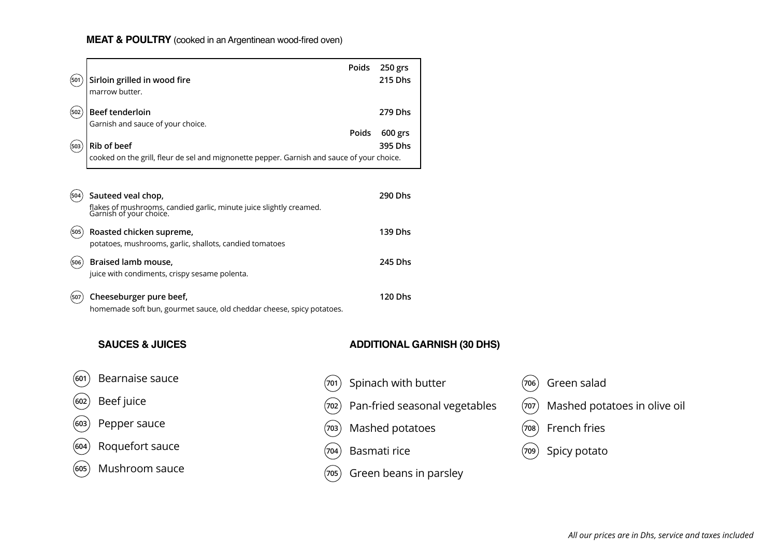# **MEAT & POULTRY** (cooked in an Argentinean wood-fired oven)

×

| (501  | Sirloin grilled in wood fire<br>marrow butter.                                                                       | Poids | 250 grs<br><b>215 Dhs</b>          |       |                              |
|-------|----------------------------------------------------------------------------------------------------------------------|-------|------------------------------------|-------|------------------------------|
| (502) | Beef tenderloin<br>Garnish and sauce of your choice.                                                                 | Poids | 279 Dhs<br>600 grs                 |       |                              |
| (503) | Rib of beef<br>cooked on the grill, fleur de sel and mignonette pepper. Garnish and sauce of your choice.            |       | 395 Dhs                            |       |                              |
| (504) | Sauteed veal chop,<br>flakes of mushrooms, candied garlic, minute juice slightly creamed.<br>Garnish of your choice. |       | 290 Dhs                            |       |                              |
| (505) | Roasted chicken supreme,<br>potatoes, mushrooms, garlic, shallots, candied tomatoes                                  |       | 139 Dhs                            |       |                              |
| (506) | Braised lamb mouse,<br>juice with condiments, crispy sesame polenta.                                                 |       | 245 Dhs                            |       |                              |
| (507) | Cheeseburger pure beef,<br>homemade soft bun, gourmet sauce, old cheddar cheese, spicy potatoes.                     |       | <b>120 Dhs</b>                     |       |                              |
|       | <b>SAUCES &amp; JUICES</b>                                                                                           |       | <b>ADDITIONAL GARNISH (30 DHS)</b> |       |                              |
| 601   | Bearnaise sauce                                                                                                      | (701  | Spinach with butter                | (706) | Green salad                  |
| 602   | Beef juice                                                                                                           | (702  | Pan-fried seasonal vegetables      | (707  | Mashed potatoes in olive oil |
| 603   | Pepper sauce                                                                                                         | (703  | Mashed potatoes                    | (708) | French fries                 |
| 604   | Roquefort sauce                                                                                                      | (704  | Basmati rice                       | (709  | Spicy potato                 |
| (605  | Mushroom sauce                                                                                                       | (705  | Green beans in parsley             |       |                              |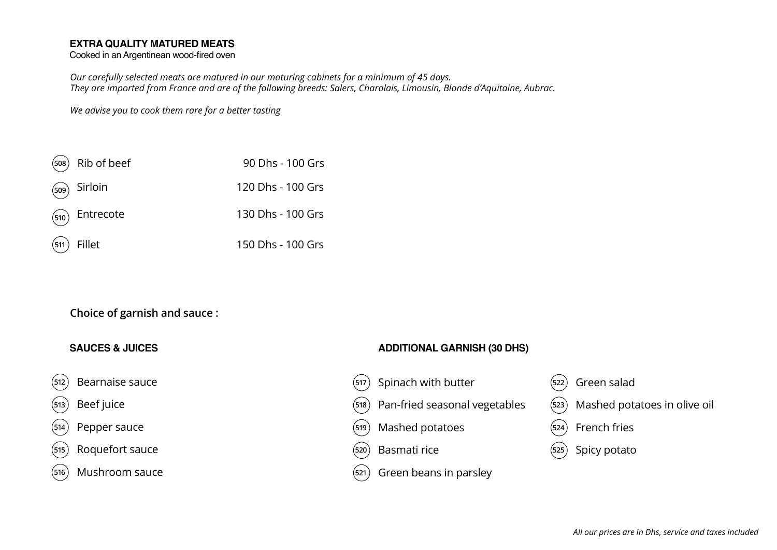### **EXTRA QUALITY MATURED MEATS**

Cooked in an Argentinean wood-fired oven

*Our carefully selected meats are matured in our maturing cabinets for a minimum of 45 days. They are imported from France and are of the following breeds: Salers, Charolais, Limousin, Blonde d'Aquitaine, Aubrac.* 

*We advise you to cook them rare for a better tasting*

| $(508)$ Rib of beef | 90 Dhs - 100 Grs  |
|---------------------|-------------------|
| $(509)$ Sirloin     | 120 Dhs - 100 Grs |
| $(510)$ Entrecote   | 130 Dhs - 100 Grs |
| $(511)$ Fillet      | 150 Dhs - 100 Grs |

# **Choice of garnish and sauce :**

- 
- 

Roquefort sauce Basmati rice Spicy potato **515 520 525**

 $(516)$  Mushroom sauce

#### **SAUCES & JUICES ADDITIONAL GARNISH (30 DHS)**

- Bearnaise sauce Spinach with butter Green salad **512 517 522**
- 513)Beef juice (518) Pan-fried seasonal vegetables (523) Mashed potatoes in olive oil
- 3HSSHUVDXFH Mashed potatoes French fries **514 519 524**
	-
	- $(s<sub>21</sub>)$  Green beans in parsley
- 
- 
- 
-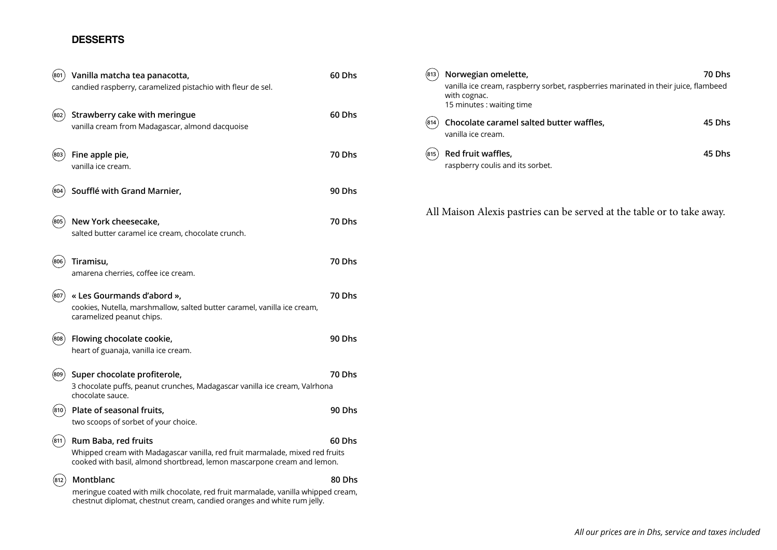### **DESSERTS**

| (801) | Vanilla matcha tea panacotta,<br>candied raspberry, caramelized pistachio with fleur de sel.                                                                                    | 60 Dhs |
|-------|---------------------------------------------------------------------------------------------------------------------------------------------------------------------------------|--------|
| 802)  | Strawberry cake with meringue<br>vanilla cream from Madagascar, almond dacquoise                                                                                                | 60 Dhs |
| (803) | Fine apple pie,<br>vanilla ice cream.                                                                                                                                           | 70 Dhs |
| 804)  | Soufflé with Grand Marnier,                                                                                                                                                     | 90 Dhs |
| (805) | New York cheesecake,<br>salted butter caramel ice cream, chocolate crunch.                                                                                                      | 70 Dhs |
| (806) | Tiramisu,<br>amarena cherries, coffee ice cream.                                                                                                                                | 70 Dhs |
| (807  | « Les Gourmands d'abord »,<br>cookies, Nutella, marshmallow, salted butter caramel, vanilla ice cream,<br>caramelized peanut chips.                                             | 70 Dhs |
| (808) | Flowing chocolate cookie,<br>heart of guanaja, vanilla ice cream.                                                                                                               | 90 Dhs |
| (809) | Super chocolate profiterole,<br>3 chocolate puffs, peanut crunches, Madagascar vanilla ice cream, Valrhona<br>chocolate sauce.                                                  | 70 Dhs |
| (810) | Plate of seasonal fruits,<br>two scoops of sorbet of your choice.                                                                                                               | 90 Dhs |
| (811  | Rum Baba, red fruits<br>Whipped cream with Madagascar vanilla, red fruit marmalade, mixed red fruits<br>cooked with basil, almond shortbread, lemon mascarpone cream and lemon. | 60 Dhs |
| 812   | Montblanc<br>meringue coated with milk chocolate, red fruit marmalade, vanilla whipped cream,<br>chestnut diplomat, chestnut cream, candied oranges and white rum jelly.        | 80 Dhs |

| Vanilla matcha tea panacotta,                                                    | 60 Dhs        | Norwegian omelette,<br>(813)                                                                                                     | <b>70 Dhs</b> |
|----------------------------------------------------------------------------------|---------------|----------------------------------------------------------------------------------------------------------------------------------|---------------|
| candied raspberry, caramelized pistachio with fleur de sel.                      |               | vanilla ice cream, raspberry sorbet, raspberries marinated in their juice, flambeed<br>with cognac.<br>15 minutes : waiting time |               |
| Strawberry cake with meringue<br>vanilla cream from Madagascar, almond dacquoise | 60 Dhs        | Chocolate caramel salted butter waffles,<br>(814)<br>vanilla ice cream.                                                          | 45 Dhs        |
| Fine apple pie,<br>vanilla ice cream.                                            | 70 Dhs        | Red fruit waffles,<br>(815)<br>raspberry coulis and its sorbet.                                                                  | 45 Dhs        |
| Soufflé with Grand Marnier,                                                      | <b>90 Dhs</b> |                                                                                                                                  |               |
|                                                                                  |               | All Maison Alexis pastries can be served at the table or to take away.                                                           |               |

*All our prices are in Dhs, service and taxes included*